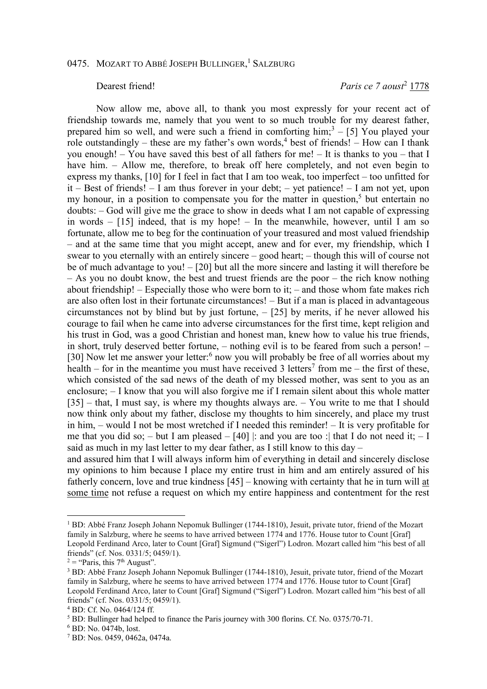## Dearest friend! *Paris ce 7 aoust*<sup>2</sup> 1778

Now allow me, above all, to thank you most expressly for your recent act of friendship towards me, namely that you went to so much trouble for my dearest father, prepared him so well, and were such a friend in comforting  $\text{him};^3 - [5]$  You played your role outstandingly – these are my father's own words,<sup>4</sup> best of friends! – How can I thank you enough! – You have saved this best of all fathers for me! – It is thanks to you – that I have him. – Allow me, therefore, to break off here completely, and not even begin to express my thanks, [10] for I feel in fact that I am too weak, too imperfect – too unfitted for it – Best of friends! – I am thus forever in your debt; – yet patience! – I am not yet, upon my honour, in a position to compensate you for the matter in question,<sup>5</sup> but entertain no doubts: – God will give me the grace to show in deeds what I am not capable of expressing in words  $-$  [15] indeed, that is my hope!  $-$  In the meanwhile, however, until I am so fortunate, allow me to beg for the continuation of your treasured and most valued friendship – and at the same time that you might accept, anew and for ever, my friendship, which I swear to you eternally with an entirely sincere – good heart; – though this will of course not be of much advantage to you! – [20] but all the more sincere and lasting it will therefore be – As you no doubt know, the best and truest friends are the poor – the rich know nothing about friendship! – Especially those who were born to it; – and those whom fate makes rich are also often lost in their fortunate circumstances! – But if a man is placed in advantageous circumstances not by blind but by just fortune, – [25] by merits, if he never allowed his courage to fail when he came into adverse circumstances for the first time, kept religion and his trust in God, was a good Christian and honest man, knew how to value his true friends, in short, truly deserved better fortune, – nothing evil is to be feared from such a person! – [30] Now let me answer your letter:<sup>6</sup> now you will probably be free of all worries about my health – for in the meantime you must have received 3 letters<sup>7</sup> from me – the first of these, which consisted of the sad news of the death of my blessed mother, was sent to you as an enclosure; – I know that you will also forgive me if I remain silent about this whole matter [35] – that, I must say, is where my thoughts always are. – You write to me that I should now think only about my father, disclose my thoughts to him sincerely, and place my trust in him, – would I not be most wretched if I needed this reminder! – It is very profitable for me that you did so; – but I am pleased – [40] |: and you are too : h that I do not need it; – I said as much in my last letter to my dear father, as I still know to this day –

and assured him that I will always inform him of everything in detail and sincerely disclose my opinions to him because I place my entire trust in him and am entirely assured of his fatherly concern, love and true kindness [45] – knowing with certainty that he in turn will at some time not refuse a request on which my entire happiness and contentment for the rest

<sup>1</sup> BD: Abbé Franz Joseph Johann Nepomuk Bullinger (1744-1810), Jesuit, private tutor, friend of the Mozart family in Salzburg, where he seems to have arrived between 1774 and 1776. House tutor to Count [Graf] Leopold Ferdinand Arco, later to Count [Graf] Sigmund ("Sigerl") Lodron. Mozart called him "his best of all friends" (cf. Nos. 0331/5; 0459/1).

 $2 =$  "Paris, this 7<sup>th</sup> August".

<sup>&</sup>lt;sup>3</sup> BD: Abbé Franz Joseph Johann Nepomuk Bullinger (1744-1810), Jesuit, private tutor, friend of the Mozart family in Salzburg, where he seems to have arrived between 1774 and 1776. House tutor to Count [Graf] Leopold Ferdinand Arco, later to Count [Graf] Sigmund ("Sigerl") Lodron. Mozart called him "his best of all friends" (cf. Nos. 0331/5; 0459/1).

<sup>4</sup> BD: Cf. No. 0464/124 ff.

<sup>&</sup>lt;sup>5</sup> BD: Bullinger had helped to finance the Paris journey with 300 florins. Cf. No. 0375/70-71.

<sup>6</sup> BD: No. 0474b, lost.

<sup>7</sup> BD: Nos. 0459, 0462a, 0474a.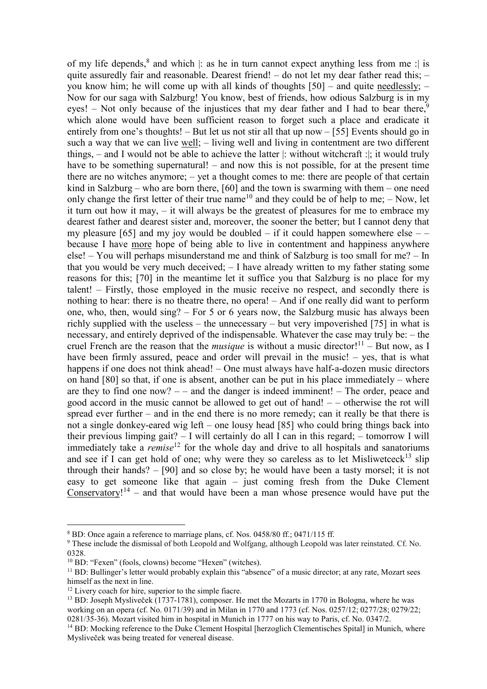of my life depends,<sup>8</sup> and which |: as he in turn cannot expect anything less from me : | is quite assuredly fair and reasonable. Dearest friend! – do not let my dear father read this; – you know him; he will come up with all kinds of thoughts [50] – and quite needlessly; – Now for our saga with Salzburg! You know, best of friends, how odious Salzburg is in my eyes! – Not only because of the injustices that my dear father and I had to bear there,<sup>9</sup> which alone would have been sufficient reason to forget such a place and eradicate it entirely from one's thoughts! – But let us not stir all that up now – [55] Events should go in such a way that we can live well; – living well and living in contentment are two different things, – and I would not be able to achieve the latter |: without witchcraft :|; it would truly have to be something supernatural! – and now this is not possible, for at the present time there are no witches anymore; – yet a thought comes to me: there are people of that certain kind in Salzburg – who are born there,  $[60]$  and the town is swarming with them – one need only change the first letter of their true name<sup>10</sup> and they could be of help to me;  $-$  Now, let it turn out how it may, – it will always be the greatest of pleasures for me to embrace my dearest father and dearest sister and, moreover, the sooner the better; but I cannot deny that my pleasure [65] and my joy would be doubled – if it could happen somewhere else – – because I have more hope of being able to live in contentment and happiness anywhere else! – You will perhaps misunderstand me and think of Salzburg is too small for me? – In that you would be very much deceived; – I have already written to my father stating some reasons for this; [70] in the meantime let it suffice you that Salzburg is no place for my talent! – Firstly, those employed in the music receive no respect, and secondly there is nothing to hear: there is no theatre there, no opera! – And if one really did want to perform one, who, then, would sing? – For 5 or 6 years now, the Salzburg music has always been richly supplied with the useless – the unnecessary – but very impoverished [75] in what is necessary, and entirely deprived of the indispensable. Whatever the case may truly be: – the cruel French are the reason that the *musique* is without a music director!<sup>11</sup> – But now, as I have been firmly assured, peace and order will prevail in the music! – yes, that is what happens if one does not think ahead! – One must always have half-a-dozen music directors on hand [80] so that, if one is absent, another can be put in his place immediately – where are they to find one now? – – and the danger is indeed imminent! – The order, peace and good accord in the music cannot be allowed to get out of hand! – – otherwise the rot will spread ever further – and in the end there is no more remedy; can it really be that there is not a single donkey-eared wig left – one lousy head [85] who could bring things back into their previous limping gait? – I will certainly do all I can in this regard; – tomorrow I will immediately take a *remise*<sup>12</sup> for the whole day and drive to all hospitals and sanatoriums and see if I can get hold of one; why were they so careless as to let Misliwetceck<sup>13</sup> slip through their hands? – [90] and so close by; he would have been a tasty morsel; it is not easy to get someone like that again – just coming fresh from the Duke Clement Conservatory!<sup>14</sup> – and that would have been a man whose presence would have put the

 $\overline{a}$ 

<sup>8</sup> BD: Once again a reference to marriage plans, cf. Nos. 0458/80 ff.; 0471/115 ff.

<sup>&</sup>lt;sup>9</sup> These include the dismissal of both Leopold and Wolfgang, although Leopold was later reinstated. Cf. No. 0328.

<sup>10</sup> BD: "Fexen" (fools, clowns) become "Hexen" (witches).

<sup>&</sup>lt;sup>11</sup> BD: Bullinger's letter would probably explain this "absence" of a music director; at any rate, Mozart sees himself as the next in line.

<sup>&</sup>lt;sup>12</sup> Livery coach for hire, superior to the simple fiacre.

<sup>&</sup>lt;sup>13</sup> BD: Joseph Mysliveček (1737-1781), composer. He met the Mozarts in 1770 in Bologna, where he was working on an opera (cf. No. 0171/39) and in Milan in 1770 and 1773 (cf. Nos. 0257/12; 0277/28; 0279/22; 0281/35-36). Mozart visited him in hospital in Munich in 1777 on his way to Paris, cf. No. 0347/2.

<sup>&</sup>lt;sup>14</sup> BD: Mocking reference to the Duke Clement Hospital [herzoglich Clementisches Spital] in Munich, where Mysliveček was being treated for venereal disease.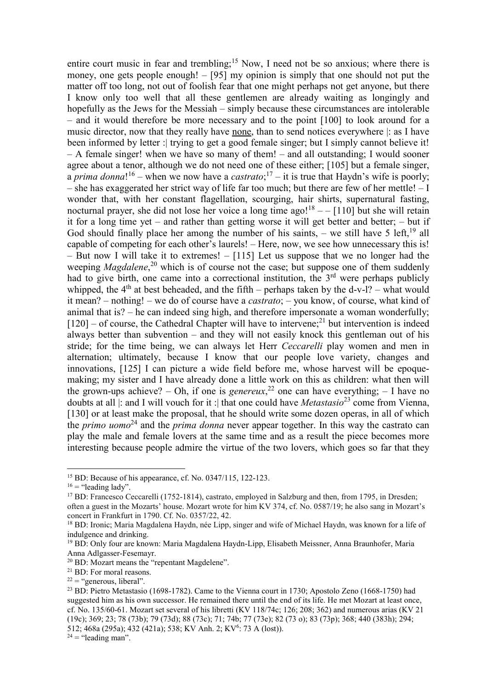entire court music in fear and trembling;<sup>15</sup> Now, I need not be so anxious; where there is money, one gets people enough! – [95] my opinion is simply that one should not put the matter off too long, not out of foolish fear that one might perhaps not get anyone, but there I know only too well that all these gentlemen are already waiting as longingly and hopefully as the Jews for the Messiah – simply because these circumstances are intolerable – and it would therefore be more necessary and to the point [100] to look around for a music director, now that they really have none, than to send notices everywhere |: as I have been informed by letter : trying to get a good female singer; but I simply cannot believe it! – A female singer! when we have so many of them! – and all outstanding; I would sooner agree about a tenor, although we do not need one of these either; [105] but a female singer, a *prima donna*!<sup>16</sup> – when we now have a *castrato*;<sup>17</sup> – it is true that Haydn's wife is poorly; – she has exaggerated her strict way of life far too much; but there are few of her mettle!  $-1$ wonder that, with her constant flagellation, scourging, hair shirts, supernatural fasting, nocturnal prayer, she did not lose her voice a long time ago!<sup>18</sup>  $-$  [110] but she will retain it for a long time yet – and rather than getting worse it will get better and better; – but if God should finally place her among the number of his saints, – we still have 5 left,  $^{19}$  all capable of competing for each other's laurels! – Here, now, we see how unnecessary this is! – But now I will take it to extremes! – [115] Let us suppose that we no longer had the weeping *Magdalene*, <sup>20</sup> which is of course not the case; but suppose one of them suddenly had to give birth, one came into a correctional institution, the  $3<sup>rd</sup>$  were perhaps publicly whipped, the  $4<sup>th</sup>$  at best beheaded, and the fifth – perhaps taken by the d-v-l? – what would it mean? – nothing! – we do of course have a *castrato*; – you know, of course, what kind of animal that is? – he can indeed sing high, and therefore impersonate a woman wonderfully;  $[120]$  – of course, the Cathedral Chapter will have to intervene;<sup>21</sup> but intervention is indeed always better than subvention – and they will not easily knock this gentleman out of his stride; for the time being, we can always let Herr *Ceccarelli* play women and men in alternation; ultimately, because I know that our people love variety, changes and innovations, [125] I can picture a wide field before me, whose harvest will be epoquemaking; my sister and I have already done a little work on this as children: what then will the grown-ups achieve? – Oh, if one is *genereux*, <sup>22</sup> one can have everything; – I have no doubts at all |: and I will vouch for it :| that one could have *Metastasio*<sup>23</sup> come from Vienna, [130] or at least make the proposal, that he should write some dozen operas, in all of which the *primo uomo*<sup>24</sup> and the *prima donna* never appear together. In this way the castrato can play the male and female lovers at the same time and as a result the piece becomes more interesting because people admire the virtue of the two lovers, which goes so far that they

 $\overline{a}$ 

 $24$  = "leading man".

<sup>15</sup> BD: Because of his appearance, cf. No. 0347/115, 122-123.

 $16$  = "leading lady".

<sup>&</sup>lt;sup>17</sup> BD: Francesco Ceccarelli (1752-1814), castrato, employed in Salzburg and then, from 1795, in Dresden; often a guest in the Mozarts' house. Mozart wrote for him KV 374, cf. No. 0587/19; he also sang in Mozart's concert in Frankfurt in 1790. Cf. No. 0357/22, 42.

<sup>18</sup> BD: Ironic; Maria Magdalena Haydn, née Lipp, singer and wife of Michael Haydn, was known for a life of indulgence and drinking.

<sup>19</sup> BD: Only four are known: Maria Magdalena Haydn-Lipp, Elisabeth Meissner, Anna Braunhofer, Maria Anna Adlgasser-Fesemayr.

<sup>20</sup> BD: Mozart means the "repentant Magdelene".

<sup>21</sup> BD: For moral reasons.

 $22 =$  "generous, liberal".

<sup>23</sup> BD: Pietro Metastasio (1698-1782). Came to the Vienna court in 1730; Apostolo Zeno (1668-1750) had suggested him as his own successor. He remained there until the end of its life. He met Mozart at least once, cf. No. 135/60-61. Mozart set several of his libretti (KV 118/74c; 126; 208; 362) and numerous arias (KV 21 (19c); 369; 23; 78 (73b); 79 (73d); 88 (73c); 71; 74b; 77 (73e); 82 (73 o); 83 (73p); 368; 440 (383h); 294; 512; 468a (295a); 432 (421a); 538; KV Anh. 2; KV<sup>6</sup>: 73 A (lost)).